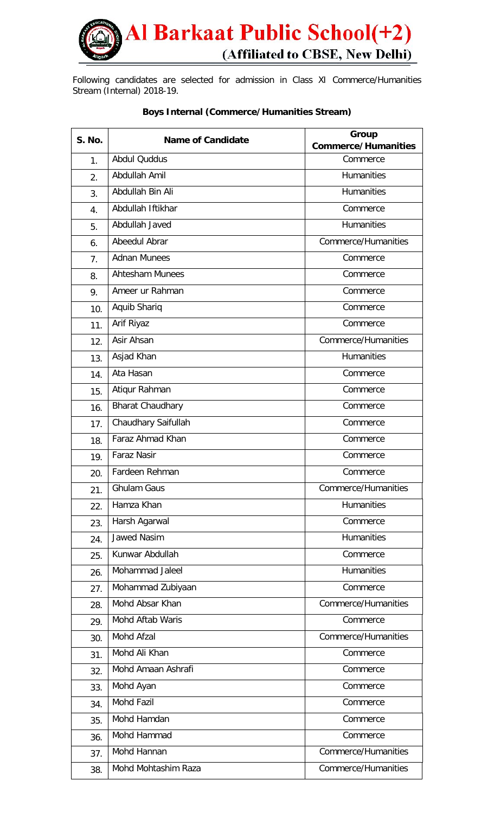

Following candidates are selected for admission in Class XI Commerce/Humanities Stream (Internal) 2018-19.

| <b>S. No.</b>  | <b>Name of Candidate</b> | Group                      |
|----------------|--------------------------|----------------------------|
|                |                          | <b>Commerce/Humanities</b> |
| 1 <sub>1</sub> | <b>Abdul Quddus</b>      | Commerce                   |
| 2.             | Abdullah Amil            | <b>Humanities</b>          |
| 3.             | Abdullah Bin Ali         | <b>Humanities</b>          |
| 4.             | Abdullah Iftikhar        | Commerce                   |
| 5.             | Abdullah Javed           | <b>Humanities</b>          |
| 6.             | Abeedul Abrar            | Commerce/Humanities        |
| 7 <sub>1</sub> | <b>Adnan Munees</b>      | Commerce                   |
| 8.             | <b>Ahtesham Munees</b>   | Commerce                   |
| 9.             | Ameer ur Rahman          | Commerce                   |
| 10.            | Aquib Shariq             | Commerce                   |
| 11.            | Arif Riyaz               | Commerce                   |
| 12.            | Asir Ahsan               | Commerce/Humanities        |
| 13.            | Asjad Khan               | <b>Humanities</b>          |
| 14.            | Ata Hasan                | Commerce                   |
| 15.            | Atiqur Rahman            | Commerce                   |
| 16.            | <b>Bharat Chaudhary</b>  | Commerce                   |
| 17.            | Chaudhary Saifullah      | Commerce                   |
| 18.            | Faraz Ahmad Khan         | Commerce                   |
| 19.            | <b>Faraz Nasir</b>       | Commerce                   |
| 20.            | Fardeen Rehman           | Commerce                   |
| 21.            | Ghulam Gaus              | Commerce/Humanities        |
| 22.            | Hamza Khan               | Humanities                 |
| 23.            | Harsh Agarwal            | Commerce                   |
| 24.            | <b>Jawed Nasim</b>       | <b>Humanities</b>          |
| 25.            | Kunwar Abdullah          | Commerce                   |
| 26.            | Mohammad Jaleel          | <b>Humanities</b>          |
| 27.            | Mohammad Zubiyaan        | Commerce                   |
| 28.            | Mohd Absar Khan          | Commerce/Humanities        |
| 29.            | Mohd Aftab Waris         | Commerce                   |
| 30.            | Mohd Afzal               | Commerce/Humanities        |
| 31.            | Mohd Ali Khan            | Commerce                   |
| 32.            | Mohd Amaan Ashrafi       | Commerce                   |
| 33.            | Mohd Ayan                | Commerce                   |
| 34.            | <b>Mohd Fazil</b>        | Commerce                   |
| 35.            | Mohd Hamdan              | Commerce                   |
| 36.            | Mohd Hammad              | Commerce                   |
| 37.            | Mohd Hannan              | Commerce/Humanities        |
| 38.            | Mohd Mohtashim Raza      | Commerce/Humanities        |

## **Boys Internal (Commerce/Humanities Stream)**